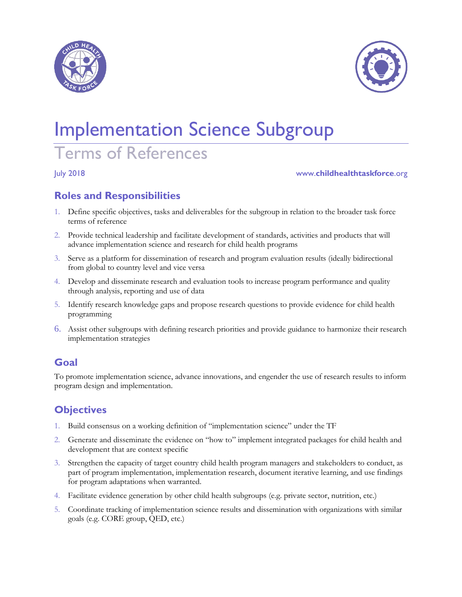



# Implementation Science Subgroup

## Terms of References

#### July 2018 www.**childhealthtaskforce**.org

#### **Roles and Responsibilities**

- 1. Define specific objectives, tasks and deliverables for the subgroup in relation to the broader task force terms of reference
- 2. Provide technical leadership and facilitate development of standards, activities and products that will advance implementation science and research for child health programs
- 3. Serve as a platform for dissemination of research and program evaluation results (ideally bidirectional from global to country level and vice versa
- 4. Develop and disseminate research and evaluation tools to increase program performance and quality through analysis, reporting and use of data
- 5. Identify research knowledge gaps and propose research questions to provide evidence for child health programming
- 6. Assist other subgroups with defining research priorities and provide guidance to harmonize their research implementation strategies

#### **Goal**

To promote implementation science, advance innovations, and engender the use of research results to inform program design and implementation.

#### **Objectives**

- 1. Build consensus on a working definition of "implementation science" under the TF
- 2. Generate and disseminate the evidence on "how to" implement integrated packages for child health and development that are context specific
- 3. Strengthen the capacity of target country child health program managers and stakeholders to conduct, as part of program implementation, implementation research, document iterative learning, and use findings for program adaptations when warranted.
- 4. Facilitate evidence generation by other child health subgroups (e.g. private sector, nutrition, etc.)
- 5. Coordinate tracking of implementation science results and dissemination with organizations with similar goals (e.g. CORE group, QED, etc.)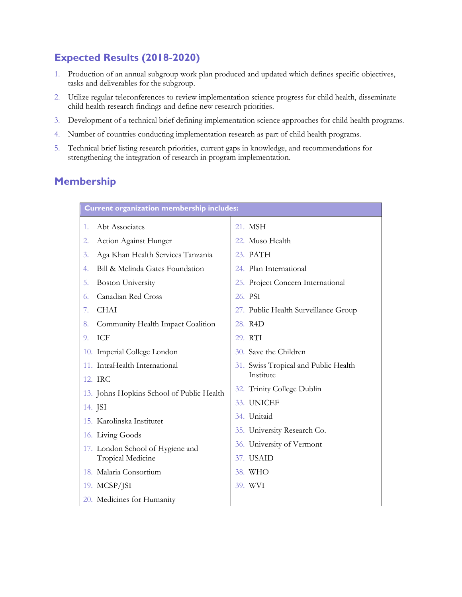#### **Expected Results (2018-2020)**

- 1. Production of an annual subgroup work plan produced and updated which defines specific objectives, tasks and deliverables for the subgroup.
- 2. Utilize regular teleconferences to review implementation science progress for child health, disseminate child health research findings and define new research priorities.
- 3. Development of a technical brief defining implementation science approaches for child health programs.
- 4. Number of countries conducting implementation research as part of child health programs.
- 5. Technical brief listing research priorities, current gaps in knowledge, and recommendations for strengthening the integration of research in program implementation.

#### **Membership**

| <b>Current organization membership includes:</b> |                                      |
|--------------------------------------------------|--------------------------------------|
| Abt Associates<br>1.                             | 21. MSH                              |
| Action Against Hunger<br>2.                      | 22. Muso Health                      |
| Aga Khan Health Services Tanzania<br>3.          | 23. PATH                             |
| Bill & Melinda Gates Foundation<br>4.            | 24. Plan International               |
| <b>Boston University</b><br>5.                   | 25. Project Concern International    |
| Canadian Red Cross<br>6.                         | 26. PSI                              |
| <b>CHAI</b><br>7.                                | 27. Public Health Surveillance Group |
| Community Health Impact Coalition<br>8.          | 28. R4D                              |
| ICF<br>9.                                        | 29. RTI                              |
| 10. Imperial College London                      | 30. Save the Children                |
| 11. IntraHealth International                    | 31. Swiss Tropical and Public Health |
| 12. IRC                                          | Institute                            |
| 13. Johns Hopkins School of Public Health        | 32. Trinity College Dublin           |
| 14. JSI                                          | 33. UNICEF                           |
| 15. Karolinska Institutet                        | 34. Unitaid                          |
| 16. Living Goods                                 | 35. University Research Co.          |
| 17. London School of Hygiene and                 | 36. University of Vermont            |
| Tropical Medicine                                | 37. USAID                            |
| 18. Malaria Consortium                           | 38. WHO                              |
| 19. MCSP/JSI                                     | 39. WVI                              |
| 20. Medicines for Humanity                       |                                      |